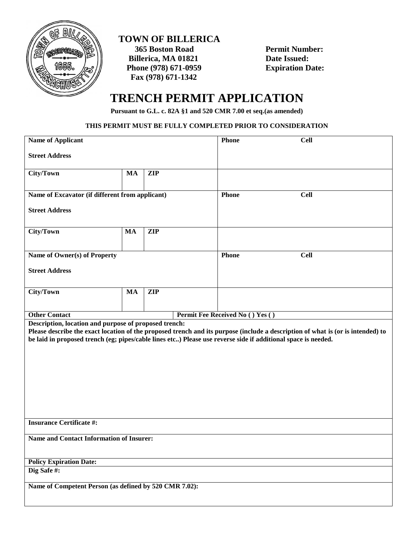

## **TOWN OF BILLERICA**

 **365 Boston Road Permit Number: Billerica, MA 01821 Date Issued:**<br> **Phone (978) 671-0959 Expiration Date: Phone (978) 671-0959 Fax (978) 671-1342** 

## **TRENCH PERMIT APPLICATION**

**Pursuant to G.L. c. 82A §1 and 520 CMR 7.00 et seq.(as amended)**

## **THIS PERMIT MUST BE FULLY COMPLETED PRIOR TO CONSIDERATION**

| <b>Name of Applicant</b>                                                                                      |           |            | <b>Phone</b> | <b>Cell</b>                      |                                                                                                                                 |  |
|---------------------------------------------------------------------------------------------------------------|-----------|------------|--------------|----------------------------------|---------------------------------------------------------------------------------------------------------------------------------|--|
| <b>Street Address</b>                                                                                         |           |            |              |                                  |                                                                                                                                 |  |
| City/Town                                                                                                     | <b>MA</b> | <b>ZIP</b> |              |                                  |                                                                                                                                 |  |
|                                                                                                               |           |            |              |                                  |                                                                                                                                 |  |
| Name of Excavator (if different from applicant)                                                               |           |            |              | <b>Phone</b>                     | <b>Cell</b>                                                                                                                     |  |
| <b>Street Address</b>                                                                                         |           |            |              |                                  |                                                                                                                                 |  |
| City/Town                                                                                                     | <b>MA</b> | <b>ZIP</b> |              |                                  |                                                                                                                                 |  |
|                                                                                                               |           |            |              |                                  |                                                                                                                                 |  |
|                                                                                                               |           |            |              |                                  |                                                                                                                                 |  |
| Name of Owner(s) of Property                                                                                  |           |            |              | <b>Phone</b>                     | <b>Cell</b>                                                                                                                     |  |
| <b>Street Address</b>                                                                                         |           |            |              |                                  |                                                                                                                                 |  |
|                                                                                                               |           |            |              |                                  |                                                                                                                                 |  |
| City/Town                                                                                                     | <b>MA</b> | <b>ZIP</b> |              |                                  |                                                                                                                                 |  |
|                                                                                                               |           |            |              |                                  |                                                                                                                                 |  |
|                                                                                                               |           |            |              |                                  |                                                                                                                                 |  |
| <b>Other Contact</b>                                                                                          |           |            |              | Permit Fee Received No () Yes () |                                                                                                                                 |  |
| Description, location and purpose of proposed trench:                                                         |           |            |              |                                  |                                                                                                                                 |  |
|                                                                                                               |           |            |              |                                  | Please describe the exact location of the proposed trench and its purpose (include a description of what is (or is intended) to |  |
| be laid in proposed trench (eg; pipes/cable lines etc) Please use reverse side if additional space is needed. |           |            |              |                                  |                                                                                                                                 |  |
|                                                                                                               |           |            |              |                                  |                                                                                                                                 |  |
|                                                                                                               |           |            |              |                                  |                                                                                                                                 |  |
|                                                                                                               |           |            |              |                                  |                                                                                                                                 |  |
|                                                                                                               |           |            |              |                                  |                                                                                                                                 |  |
|                                                                                                               |           |            |              |                                  |                                                                                                                                 |  |
|                                                                                                               |           |            |              |                                  |                                                                                                                                 |  |
|                                                                                                               |           |            |              |                                  |                                                                                                                                 |  |
|                                                                                                               |           |            |              |                                  |                                                                                                                                 |  |
| <b>Insurance Certificate #:</b>                                                                               |           |            |              |                                  |                                                                                                                                 |  |
|                                                                                                               |           |            |              |                                  |                                                                                                                                 |  |
| Name and Contact Information of Insurer:                                                                      |           |            |              |                                  |                                                                                                                                 |  |
|                                                                                                               |           |            |              |                                  |                                                                                                                                 |  |
| <b>Policy Expiration Date:</b>                                                                                |           |            |              |                                  |                                                                                                                                 |  |
| Dig Safe#:                                                                                                    |           |            |              |                                  |                                                                                                                                 |  |
| Name of Competent Person (as defined by 520 CMR 7.02):                                                        |           |            |              |                                  |                                                                                                                                 |  |
|                                                                                                               |           |            |              |                                  |                                                                                                                                 |  |
|                                                                                                               |           |            |              |                                  |                                                                                                                                 |  |